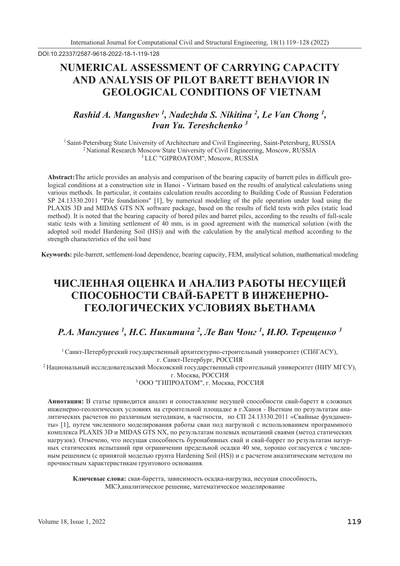DOI:10.22337/2587-9618-2022-18-1-119-128

# **NUMERICAL ASSESSMENT OF CARRYING CAPACITY AND ANALYSIS OF PILOT BARETT BEHAVIOR IN GEOLOGICAL CONDITIONS OF VIETNAM**

## *Rashid A. Mangushev*<sup>1</sup>, *Nadezhda S. Nikitina*<sup>2</sup>, *Le Van Chong*<sup>1</sup>, *Ivan Yu. Tereshchenko 3*

<sup>1</sup> Saint-Petersburg State University of Architecture and Civil Engineering, Saint-Petersburg, RUSSIA<br><sup>2</sup> National Research Moscow State University of Civil Engineering, Moscow, RUSSIA<br><sup>3</sup> LLC "GIPROATOM", Moscow, RUSSIA

**Abstract:**The article provides an analysis and comparison of the bearing capacity of barrett piles in difficult geological conditions at a construction site in Hanoi - Vietnam based on the results of analytical calculations using various methods. In particular, it contains calculation results according to Building Code of Russian Federation SP 24.13330.2011 "Pile foundations" [1], by numerical modeling of the pile operation under load using the PLAXIS 3D and MIDAS GTS NX software package, based on the results of field tests with piles (static load method). It is noted that the bearing capacity of bored piles and barret piles, according to the results of full-scale static tests with a limiting settlement of 40 mm, is in good agreement with the numerical solution (with the adopted soil model Hardening Soil (HS)) and with the calculation by the analytical method according to the strength characteristics of the soil base

**Keywords:** pile-barrett, settlement-load dependence, bearing capacity, FEM, analytical solution, mathematical modeling

# ЧИСЛЕННАЯ ОЦЕНКА И АНАЛИЗ РАБОТЫ НЕСУЩЕЙ СПОСОБНОСТИ СВАЙ-БАРЕТТ В ИНЖЕНЕРНО-ГЕОЛОГИЧЕСКИХ УСЛОВИЯХ ВЬЕТНАМА

# $PA$ . Мангушев <sup>1</sup>, Н.С. Никитина <sup>2</sup>, Ле Ван Чонг <sup>1</sup>, И.Ю. Терещенко <sup>3</sup>

<sup>1</sup> Санкт-Петербургский государственный архитектурно-строительный университет (СПбГАСУ), г. Санкт-Петербург, РОССИЯ <sup>2</sup> Национальный исследовательский Московский государственный строительный университет (НИУ МГСУ), г. Москва, РОССИЯ

<sup>3</sup> ООО "ГИПРОАТОМ", г. Москва, РОССИЯ

Аннотация: В статье приводится анализ и сопоставление несущей способности свай-баретт в сложных инженерно-геологических условиях на строительной плошалке в г.Ханоя - Вьетнам по результатам аналитических расчетов по различным методикам, в частности, по СП 24.13330.2011 «Свайные фундаменты» [1], путем численного моделирования работы сваи под нагрузкой с использованием программного комплекса PLAXIS 3D и MIDAS GTS NX, по результатам полевых испытаний сваями (метод статических нагрузок). Отмечено, что несущая способность буронабивных свай и свай-баррет по результатам натурных статических испытаний при ограничении предельной осадки 40 мм, хорошо согласуется с численным решением (с принятой моделью грунта Hardening Soil (HS)) и с расчетом аналитическим методом по прочностным характеристикам грунтового основания.

Ключевые слова: свая-баретта, зависимость осадка-нагрузка, несущая способность, МКЭ, аналитическое решение, математическое моделирование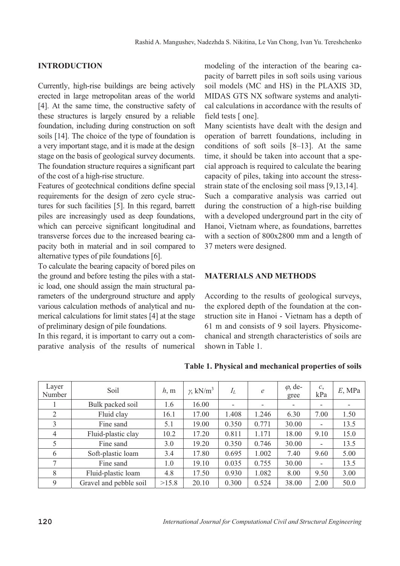### **INTRODUCTION**

Currently, high-rise buildings are being actively erected in large metropolitan areas of the world [4]. At the same time, the constructive safety of these structures is largely ensured by a reliable foundation, including during construction on soft soils [14]. The choice of the type of foundation is a very important stage, and it is made at the design stage on the basis of geological survey documents. The foundation structure requires a significant part of the cost of a high-rise structure.

Features of geotechnical conditions define special requirements for the design of zero cycle structures for such facilities [5]. In this regard, barrett piles are increasingly used as deep foundations, which can perceive significant longitudinal and transverse forces due to the increased bearing capacity both in material and in soil compared to alternative types of pile foundations [6].

To calculate the bearing capacity of bored piles on the ground and before testing the piles with a static load, one should assign the main structural parameters of the underground structure and apply various calculation methods of analytical and numerical calculations for limit states [4] at the stage of preliminary design of pile foundations.

In this regard, it is important to carry out a comparative analysis of the results of numerical modeling of the interaction of the bearing capacity of barrett piles in soft soils using various soil models (MC and HS) in the PLAXIS 3D, MIDAS GTS NX software systems and analytical calculations in accordance with the results of field tests [ one].

Many scientists have dealt with the design and operation of barrett foundations, including in conditions of soft soils [8–13]. At the same time, it should be taken into account that a special approach is required to calculate the bearing capacity of piles, taking into account the stressstrain state of the enclosing soil mass [9,13,14].

Such a comparative analysis was carried out during the construction of a high-rise building with a developed underground part in the city of Hanoi, Vietnam where, as foundations, barrettes with a section of 800x2800 mm and a length of 37 meters were designed.

#### **MATERIALS AND METHODS**

According to the results of geological surveys, the explored depth of the foundation at the construction site in Hanoi - Vietnam has a depth of 61 m and consists of 9 soil layers. Physicomechanical and strength characteristics of soils are shown in Table 1.

| Layer<br>Number | Soil                   | h, m  | $\gamma$ , kN/m <sup>3</sup> | $I_L$                    | $\mathcal{C}$ | $\varphi$ , de-<br>gree  | c,<br>kPa                | $E$ , MPa |
|-----------------|------------------------|-------|------------------------------|--------------------------|---------------|--------------------------|--------------------------|-----------|
|                 | Bulk packed soil       | 1.6   | 16.00                        | $\overline{\phantom{a}}$ | ۰             | $\overline{\phantom{a}}$ |                          |           |
| 2               | Fluid clay             | 16.1  | 17.00                        | 1.408                    | 1.246         | 6.30                     | 7.00                     | 1.50      |
| 3               | Fine sand              | 5.1   | 19.00                        | 0.350                    | 0.771         | 30.00                    | $\overline{\phantom{a}}$ | 13.5      |
| $\overline{4}$  | Fluid-plastic clay     | 10.2  | 17.20                        | 0.811                    | 1.171         | 18.00                    | 9.10                     | 15.0      |
| 5               | Fine sand              | 3.0   | 19.20                        | 0.350                    | 0.746         | 30.00                    | $\overline{\phantom{0}}$ | 13.5      |
| 6               | Soft-plastic loam      | 3.4   | 17.80                        | 0.695                    | 1.002         | 7.40                     | 9.60                     | 5.00      |
| 7               | Fine sand              | 1.0   | 19.10                        | 0.035                    | 0.755         | 30.00                    | -                        | 13.5      |
| 8               | Fluid-plastic loam     | 4.8   | 17.50                        | 0.930                    | 1.082         | 8.00                     | 9.50                     | 3.00      |
| 9               | Gravel and pebble soil | >15.8 | 20.10                        | 0.300                    | 0.524         | 38.00                    | 2.00                     | 50.0      |

**Table 1. Physical and mechanical properties of soils**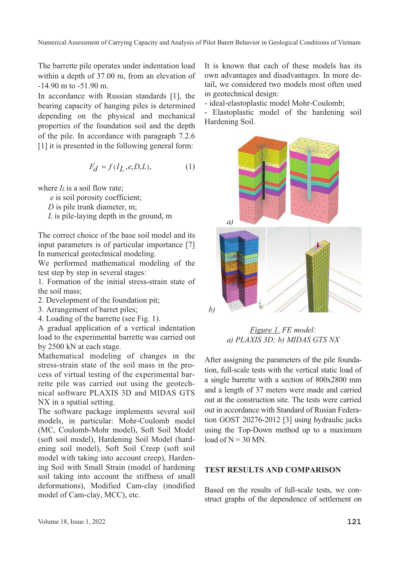The barrette pile operates under indentation load within a depth of 37.00 m, from an elevation of -14.90 m to -51.90 m.

In accordance with Russian standards [1], the bearing capacity of hanging piles is determined depending on the physical and mechanical properties of the foundation soil and the depth of the pile. In accordance with paragraph 7.2.6 [1] it is presented in the following general form:

$$
F_d = f(I_L, e, D, L),\tag{1}
$$

where  $I_L$  is a soil flow rate:

 *e* is soil porosity coefficient;

*D* is pile trunk diameter, m;

 *L* is pile-laying depth in the ground, m

The correct choice of the base soil model and its input parameters is of particular importance [7] In numerical geotechnical modeling.

We performed mathematical modeling of the test step by step in several stages:

1. Formation of the initial stress-strain state of the soil mass;

2. Development of the foundation pit;

3. Arrangement of barret piles;

4. Loading of the barrette (see Fig. 1).

A gradual application of a vertical indentation load to the experimental barrette was carried out by 2500 kN at each stage.

Mathematical modeling of changes in the stress-strain state of the soil mass in the process of virtual testing of the experimental barrette pile was carried out using the geotechnical software PLAXIS 3D and MIDAS GTS NX in a spatial setting.

The software package implements several soil models, in particular: Mohr-Coulomb model (MC, Coulomb-Mohr model), Soft Soil Model (soft soil model), Hardening Soil Model (hardening soil model), Soft Soil Creep (soft soil model with taking into account creep), Hardening Soil with Small Strain (model of hardening soil taking into account the stiffness of small deformations), Modified Cam-clay (modified model of Cam-clay, MCC), etc.

It is known that each of these models has its own advantages and disadvantages. In more detail, we considered two models most often used in geotechnical design:

- ideal-elastoplastic model Mohr-Coulomb;

- Elastoplastic model of the hardening soil Hardening Soil.



*Figure 1. FE model: a) PLAXIS 3D; b) MIDAS GTS NX* 

After assigning the parameters of the pile foundation, full-scale tests with the vertical static load of a single barrette with a section of 800x2800 mm and a length of 37 meters were made and carried out at the construction site. The tests were carried out in accordance with Standard of Rusian Federation GOST 20276-2012 [3] using hydraulic jacks using the Top-Down method up to a maximum  $load of N = 30 MN$ 

#### **TEST RESULTS AND COMPARISON**

Based on the results of full-scale tests, we construct graphs of the dependence of settlement on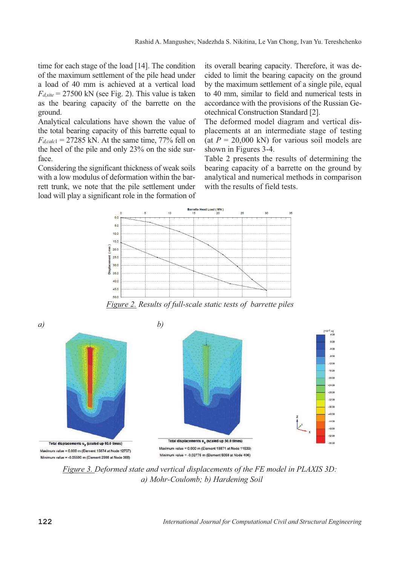time for each stage of the load [14]. The condition of the maximum settlement of the pile head under a load of 40 mm is achieved at a vertical load  $F_{d,site}$  = 27500 kN (see Fig. 2). This value is taken as the bearing capacity of the barrette on the ground.

Analytical calculations have shown the value of the total bearing capacity of this barrette equal to  $F_{d,calc1} = 27285$  kN. At the same time, 77% fell on the heel of the pile and only 23% on the side surface.

Considering the significant thickness of weak soils with a low modulus of deformation within the barrett trunk, we note that the pile settlement under load will play a significant role in the formation of

its overall bearing capacity. Therefore, it was decided to limit the bearing capacity on the ground by the maximum settlement of a single pile, equal to 40 mm, similar to field and numerical tests in accordance with the provisions of the Russian Geotechnical Construction Standard [2].

The deformed model diagram and vertical displacements at an intermediate stage of testing (at  $P = 20,000$  kN) for various soil models are shown in Figures 3-4.

Table 2 presents the results of determining the bearing capacity of a barrette on the ground by analytical and numerical methods in comparison with the results of field tests.



*Figure 2. Results of full-scale static tests of barrette piles* 



*Figure 3. Deformed state and vertical displacements of the FE model in PLAXIS 3D: a) Mohr-Coulomb; b) Hardening Soil*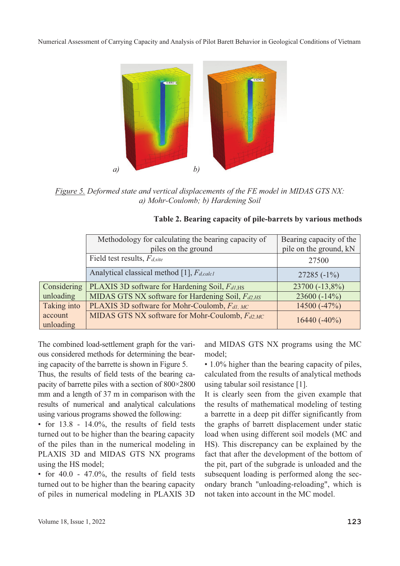Numerical Assessment of Carrying Capacity and Analysis of Pilot Barett Behavior in Geological Conditions of Vietnam



*Figure 5. Deformed state and vertical displacements of the FE model in MIDAS GTS NX: a) Mohr-Coulomb; b) Hardening Soil* 

|                      | Methodology for calculating the bearing capacity of<br>piles on the ground | Bearing capacity of the<br>pile on the ground, kN |  |  |
|----------------------|----------------------------------------------------------------------------|---------------------------------------------------|--|--|
|                      | Field test results, F <sub>d,site</sub>                                    | 27500                                             |  |  |
|                      | Analytical classical method [1], $F_{d, calc1}$                            | 27285 $(-1\%)$                                    |  |  |
| Considering          | PLAXIS 3D software for Hardening Soil, $F_{dI,HS}$                         | 23700 (-13,8%)                                    |  |  |
| unloading            | MIDAS GTS NX software for Hardening Soil, Fd2, HS                          | 23600 $(-14\%)$                                   |  |  |
| Taking into          | PLAXIS 3D software for Mohr-Coulomb, Fal, MC                               | 14500 $(-47\%)$                                   |  |  |
| account<br>unloading | MIDAS GTS NX software for Mohr-Coulomb, Fd2,MC                             | $16440(-40\%)$                                    |  |  |

The combined load-settlement graph for the various considered methods for determining the bearing capacity of the barrette is shown in Figure 5.

Thus, the results of field tests of the bearing capacity of barrette piles with a section of 800×2800 mm and a length of 37 m in comparison with the results of numerical and analytical calculations using various programs showed the following:

• for 13.8 - 14.0%, the results of field tests turned out to be higher than the bearing capacity of the piles than in the numerical modeling in PLAXIS 3D and MIDAS GTS NX programs using the HS model;

• for  $40.0 - 47.0\%$ , the results of field tests turned out to be higher than the bearing capacity of piles in numerical modeling in PLAXIS 3D and MIDAS GTS NX programs using the MC model;

• 1.0% higher than the bearing capacity of piles, calculated from the results of analytical methods using tabular soil resistance [1].

It is clearly seen from the given example that the results of mathematical modeling of testing a barrette in a deep pit differ significantly from the graphs of barrett displacement under static load when using different soil models (MC and HS). This discrepancy can be explained by the fact that after the development of the bottom of the pit, part of the subgrade is unloaded and the subsequent loading is performed along the secondary branch "unloading-reloading", which is not taken into account in the MC model.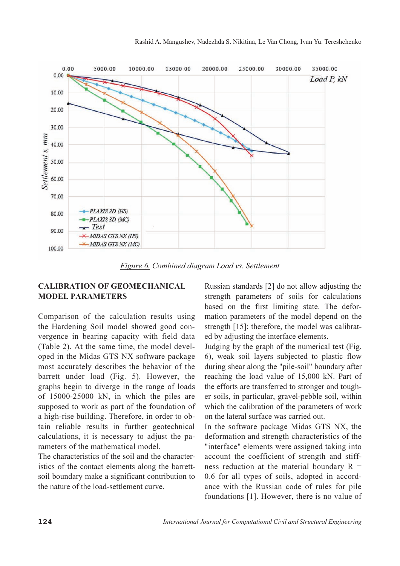

*Figure 6. Combined diagram Load vs. Settlement* 

#### **CALIBRATION OF GEOMECHANICAL MODEL PARAMETERS**

Comparison of the calculation results using the Hardening Soil model showed good convergence in bearing capacity with field data (Table 2). At the same time, the model developed in the Midas GTS NX software package most accurately describes the behavior of the barrett under load (Fig. 5). However, the graphs begin to diverge in the range of loads of 15000-25000 kN, in which the piles are supposed to work as part of the foundation of a high-rise building. Therefore, in order to obtain reliable results in further geotechnical calculations, it is necessary to adjust the parameters of the mathematical model.

The characteristics of the soil and the characteristics of the contact elements along the barrettsoil boundary make a significant contribution to the nature of the load-settlement curve.

Russian standards [2] do not allow adjusting the strength parameters of soils for calculations based on the first limiting state. The deformation parameters of the model depend on the strength [15]; therefore, the model was calibrated by adjusting the interface elements.

Judging by the graph of the numerical test (Fig. 6), weak soil layers subjected to plastic flow during shear along the "pile-soil" boundary after reaching the load value of 15,000 kN. Part of the efforts are transferred to stronger and tougher soils, in particular, gravel-pebble soil, within which the calibration of the parameters of work on the lateral surface was carried out.

In the software package Midas GTS NX, the deformation and strength characteristics of the "interface" elements were assigned taking into account the coefficient of strength and stiffness reduction at the material boundary  $R =$ 0.6 for all types of soils, adopted in accordance with the Russian code of rules for pile foundations [1]. However, there is no value of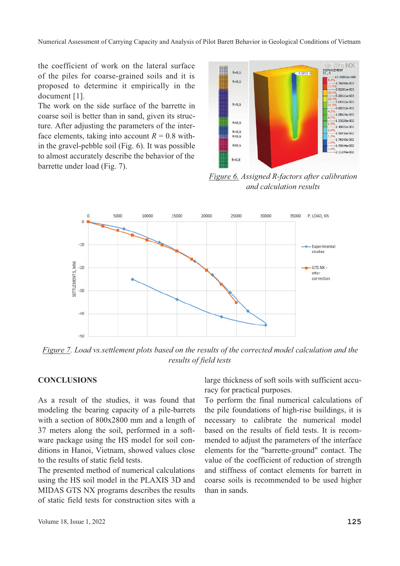Numerical Assessment of Carrying Capacity and Analysis of Pilot Barett Behavior in Geological Conditions of Vietnam

the coefficient of work on the lateral surface of the piles for coarse-grained soils and it is proposed to determine it empirically in the document [1].

The work on the side surface of the barrette in coarse soil is better than in sand, given its structure. After adjusting the parameters of the interface elements, taking into account  $R = 0.8$  within the gravel-pebble soil (Fig. 6). It was possible to almost accurately describe the behavior of the barrette under load (Fig. 7).



*Figure 6. Assigned R-factors after calibration and calculation results* 



*Figure 7. Load vs.settlement plots based on the results of the corrected model calculation and the results of field tests*

#### **CONCLUSIONS**

As a result of the studies, it was found that modeling the bearing capacity of a pile-barrets with a section of 800x2800 mm and a length of 37 meters along the soil, performed in a software package using the HS model for soil conditions in Hanoi, Vietnam, showed values close to the results of static field tests.

The presented method of numerical calculations using the HS soil model in the PLAXIS 3D and MIDAS GTS NX programs describes the results of static field tests for construction sites with a large thickness of soft soils with sufficient accuracy for practical purposes.

To perform the final numerical calculations of the pile foundations of high-rise buildings, it is necessary to calibrate the numerical model based on the results of field tests. It is recommended to adjust the parameters of the interface elements for the "barrette-ground" contact. The value of the coefficient of reduction of strength and stiffness of contact elements for barrett in coarse soils is recommended to be used higher than in sands.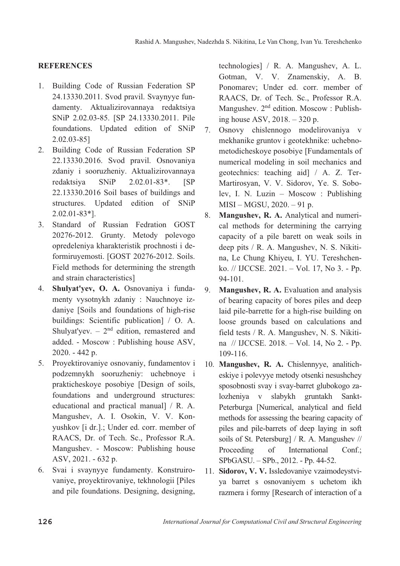## **REFERENCES**

- 1. Building Code of Russian Federation SP 24.13330.2011. Svod pravil. Svaynyye fundamenty. Aktualizirovannaya redaktsiya SNiP 2.02.03-85. [SP 24.13330.2011. Pile foundations. Updated edition of SNiP 2.02.03-85]
- 2. Building Code of Russian Federation SP 22.13330.2016. Svod pravil. Osnovaniya zdaniy i sooruzheniy. Aktualizirovannaya redaktsiya SNiP 2.02.01-83\*. [SP 22.13330.2016 Soil bases of buildings and structures. Updated edition of SNiP 2.02.01-83\*].
- 3. Standard of Russian Fedration GOST 20276-2012. Grunty. Metody polevogo opredeleniya kharakteristik prochnosti i deformiruyemosti. [GOST 20276-2012. Soils. Field methods for determining the strength and strain characteristics]
- 4. **Shulyat'yev, O. A.** Osnovaniya i fundamenty vysotnykh zdaniy : Nauchnoye izdaniye [Soils and foundations of high-rise buildings: Scientific publication] / O. A. Shulyat'yev.  $-2<sup>nd</sup>$  edition, remastered and added. - Moscow : Publishing house ASV, 2020. - 442 p.
- 5. Proyektirovaniye osnovaniy, fundamentov i podzemnykh sooruzheniy: uchebnoye i prakticheskoye posobiye [Design of soils, foundations and underground structures: educational and practical manual] / R. A. Mangushev, A. I. Osokin, V. V. Konyushkov [i dr.].; Under ed. corr. member of RAACS, Dr. of Tech. Sc., Professor R.A. Mangushev. - Moscow: Publishing house ASV, 2021. - 632 p.
- 6. Svai i svaynyye fundamenty. Konstruirovaniye, proyektirovaniye, tekhnologii [Piles and pile foundations. Designing, designing,

technologies] / R. A. Mangushev, A. L. Gotman, V. V. Znamenskiy, A. B. Ponomarev; Under ed. corr. member of RAACS, Dr. of Tech. Sc., Professor R.A. Mangushev.  $2<sup>nd</sup>$  edition. Moscow : Publishing house ASV, 2018. – 320 p.

- 7. Osnovy chislennogo modelirovaniya v mekhanike gruntov i geotekhnike: uchebnometodicheskoye posobiye [Fundamentals of numerical modeling in soil mechanics and geotechnics: teaching aid] / A. Z. Ter-Martirosyan, V. V. Sidorov, Ye. S. Sobolev, I. N. Luzin – Moscow : Publishing MISI – MGSU, 2020. – 91 p.
- 8. **Mangushev, R. A.** Analytical and numerical methods for determining the carrying capacity of a pile barett on weak soils in deep pits / R. A. Mangushev, N. S. Nikitina, Le Chung Khiyeu, I. YU. Tereshchenko. // IJCCSE. 2021. – Vol. 17, No 3. - Pp. 94-101.
- 9. **Mangushev, R. A.** Evaluation and analysis of bearing capacity of bores piles and deep laid pile-barrette for a high-rise building on loose grounds based on calculations and field tests / R. A. Mangushev, N. S. Nikitina // IJCCSE. 2018. – Vol. 14, No 2. - Pp. 109-116.
- 10. **Mangushev, R. A.** Chislennyye, analiticheskiye i polevyye metody otsenki nesushchey sposobnosti svay i svay-barret glubokogo zalozheniya v slabykh gruntakh Sankt-Peterburga [Numerical, analytical and field methods for assessing the bearing capacity of piles and pile-barrets of deep laying in soft soils of St. Petersburg] / R. A. Mangushev // Proceeding of International Conf.; SPbGASU. – SPb., 2012. - Pp. 44-52.
- 11. **Sidorov, V. V.** Issledovaniye vzaimodeystviya barret s osnovaniyem s uchetom ikh razmera i formy [Research of interaction of a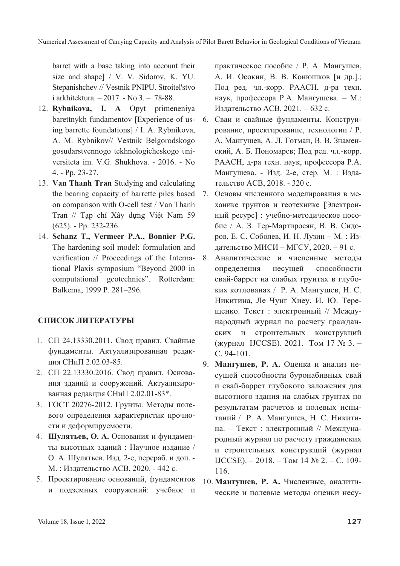barret with a base taking into account their size and shape] / V. V. Sidorov, K. YU. Stepanishchev // Vestnik PNIPU. Stroitel'stvo i arkhitektura. – 2017. - No 3. – 78-88.

- 12. **Rybnikova, I. A** Opyt primeneniya barettnykh fundamentov [Experience of using barrette foundations] / I. A. Rybnikova, A. M. Rybnikov// Vestnik Belgorodskogo gosudarstvennogo tekhnologicheskogo universiteta im. V.G. Shukhova. - 2016. - No 4. - Pp. 23-27.
- 13. **Van Thanh Tran** Studying and calculating the bearing capacity of barrette piles based on comparison with O-cell test / Van Thanh Tran // Tạp chí Xây dựng Việt Nam 59 (625). - Pp. 232-236.
- 14. **Schanz T., Vermeer P.A., Bonnier P.G.** The hardening soil model: formulation and verification // Proceedings of the International Plaxis symposium "Beyond 2000 in computational geotechnics". Rotterdam: Balkema, 1999 P. 281–296.

#### СПИСОК ЛИТЕРАТУРЫ

- 1. СП 24.13330.2011. Свод правил. Свайные фундаменты. Актуализированная редакция СНиП 2.02.03-85.
- 2. СП 22.13330.2016. Свод правил. Основания зданий и сооружений. Актуализированная редакция СНиП 2.02.01-83\*.
- 3. ГОСТ 20276-2012. Грунты. Методы полевого определения характеристик прочности и деформируемости.
- 4. Шулятьев, О. А. Основания и фундаменты высотных зданий: Научное издание / О. А. Шулятьев. Изд. 2-е, перераб. и доп. -М.: Издательство АСВ, 2020. - 442 с.
- 5. Проектирование оснований, фундаментов и подземных сооружений: учебное и

практическое пособие / Р. А. Мангушев, А. И. Осокин, В. В. Конюшков [и др.].; Под ред. чл.-корр. РААСН, д-ра техн. наук, профессора Р.А. Мангушева. - М.: Издательство АСВ, 2021. - 632 с.

- 6. Сваи и свайные фундаменты. Конструирование, проектирование, технологии / Р. А. Мангушев, А. Л. Готман, В. В. Знаменский, А. Б. Пономарев; Под ред. чл.-корр. РААСН, д-ра техн. наук, профессора Р.А. Мангушева. - Изд. 2-е, стер. М. : Издательство АСВ, 2018. - 320 с.
- 7. Основы численного моделирования в механике грунтов и геотехнике [Электронный ресурс] : учебно-методическое пособие / А. З. Тер-Мартиросян, В. В. Сидоров, Е. С. Соболев, И. Н. Лузин – М. : Издательство МИСИ – МГСУ, 2020. – 91 с.
- 8. Аналитические и численные методы определения несущей способности свай-баррет на слабых грунтах в глубоких котлованах / Р. А. Мангушев, Н. С. Никитина, Ле Чунг Хиеу, И. Ю. Терещенко. Текст : электронный // Международный журнал по расчету гражданских и строительных конструкций (журнал IJCCSE). 2021. Том 17 № 3. -C. 94-101.
- 9. **Мангушев, Р. А.** Оценка и анализ несущей способности буронабивных свай и свай-баррет глубокого заложения для высотного здания на слабых грунтах по результатам расчетов и полевых испытаний / Р. А. Мангушев, Н. С. Никитина. – Текст : электронный // Международный журнал по расчету гражданских и строительных конструкций (журнал IJCCSE). – 2018. – Том 14 № 2. – С. 109-116.
- 10. **Мангушев, Р. А.** Численные, аналитические и полевые методы оценки несу-